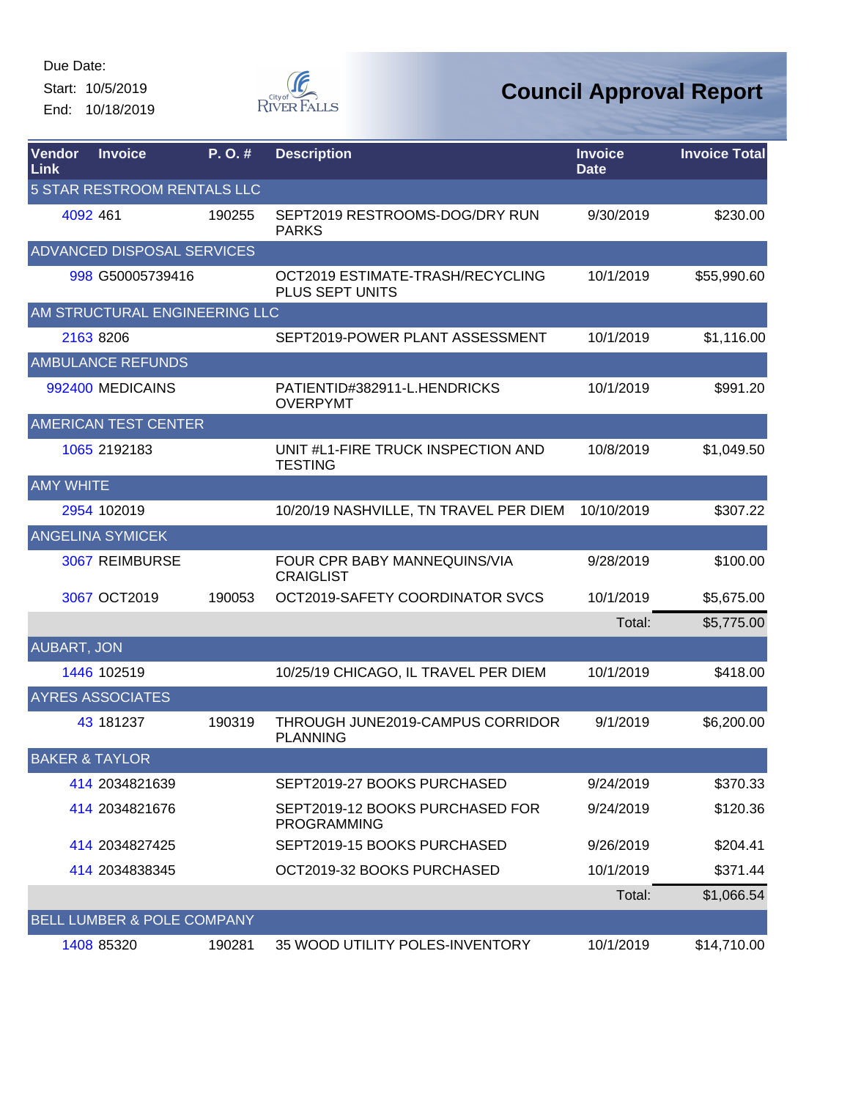Start: 10/5/2019 End: 10/18/2019



| <b>Vendor</b><br>Link | <b>Invoice</b>                        | P.O.#  | <b>Description</b>                                    | <b>Invoice</b><br><b>Date</b> | <b>Invoice Total</b> |
|-----------------------|---------------------------------------|--------|-------------------------------------------------------|-------------------------------|----------------------|
|                       | <b>5 STAR RESTROOM RENTALS LLC</b>    |        |                                                       |                               |                      |
|                       | 4092 461                              | 190255 | SEPT2019 RESTROOMS-DOG/DRY RUN<br><b>PARKS</b>        | 9/30/2019                     | \$230.00             |
|                       | ADVANCED DISPOSAL SERVICES            |        |                                                       |                               |                      |
|                       | 998 G50005739416                      |        | OCT2019 ESTIMATE-TRASH/RECYCLING<br>PLUS SEPT UNITS   | 10/1/2019                     | \$55,990.60          |
|                       | AM STRUCTURAL ENGINEERING LLC         |        |                                                       |                               |                      |
|                       | 2163 8206                             |        | SEPT2019-POWER PLANT ASSESSMENT                       | 10/1/2019                     | \$1,116.00           |
|                       | <b>AMBULANCE REFUNDS</b>              |        |                                                       |                               |                      |
|                       | 992400 MEDICAINS                      |        | PATIENTID#382911-L.HENDRICKS<br><b>OVERPYMT</b>       | 10/1/2019                     | \$991.20             |
|                       | <b>AMERICAN TEST CENTER</b>           |        |                                                       |                               |                      |
|                       | 1065 2192183                          |        | UNIT #L1-FIRE TRUCK INSPECTION AND<br><b>TESTING</b>  | 10/8/2019                     | \$1,049.50           |
| <b>AMY WHITE</b>      |                                       |        |                                                       |                               |                      |
|                       | 2954 102019                           |        | 10/20/19 NASHVILLE, TN TRAVEL PER DIEM                | 10/10/2019                    | \$307.22             |
|                       | <b>ANGELINA SYMICEK</b>               |        |                                                       |                               |                      |
|                       | 3067 REIMBURSE                        |        | FOUR CPR BABY MANNEQUINS/VIA<br><b>CRAIGLIST</b>      | 9/28/2019                     | \$100.00             |
|                       | 3067 OCT2019                          | 190053 | OCT2019-SAFETY COORDINATOR SVCS                       | 10/1/2019                     | \$5,675.00           |
|                       |                                       |        |                                                       | Total:                        | \$5,775.00           |
| <b>AUBART, JON</b>    |                                       |        |                                                       |                               |                      |
|                       | 1446 102519                           |        | 10/25/19 CHICAGO, IL TRAVEL PER DIEM                  | 10/1/2019                     | \$418.00             |
|                       | <b>AYRES ASSOCIATES</b>               |        |                                                       |                               |                      |
|                       | 43 181237                             | 190319 | THROUGH JUNE2019-CAMPUS CORRIDOR<br><b>PLANNING</b>   | 9/1/2019                      | \$6,200.00           |
|                       | <b>BAKER &amp; TAYLOR</b>             |        |                                                       |                               |                      |
|                       | 414 2034821639                        |        | SEPT2019-27 BOOKS PURCHASED                           | 9/24/2019                     | \$370.33             |
|                       | 414 2034821676                        |        | SEPT2019-12 BOOKS PURCHASED FOR<br><b>PROGRAMMING</b> | 9/24/2019                     | \$120.36             |
|                       | 414 2034827425                        |        | SEPT2019-15 BOOKS PURCHASED                           | 9/26/2019                     | \$204.41             |
|                       | 414 2034838345                        |        | OCT2019-32 BOOKS PURCHASED                            | 10/1/2019                     | \$371.44             |
|                       |                                       |        |                                                       | Total:                        | \$1,066.54           |
|                       | <b>BELL LUMBER &amp; POLE COMPANY</b> |        |                                                       |                               |                      |
|                       | 1408 85320                            | 190281 | 35 WOOD UTILITY POLES-INVENTORY                       | 10/1/2019                     | \$14,710.00          |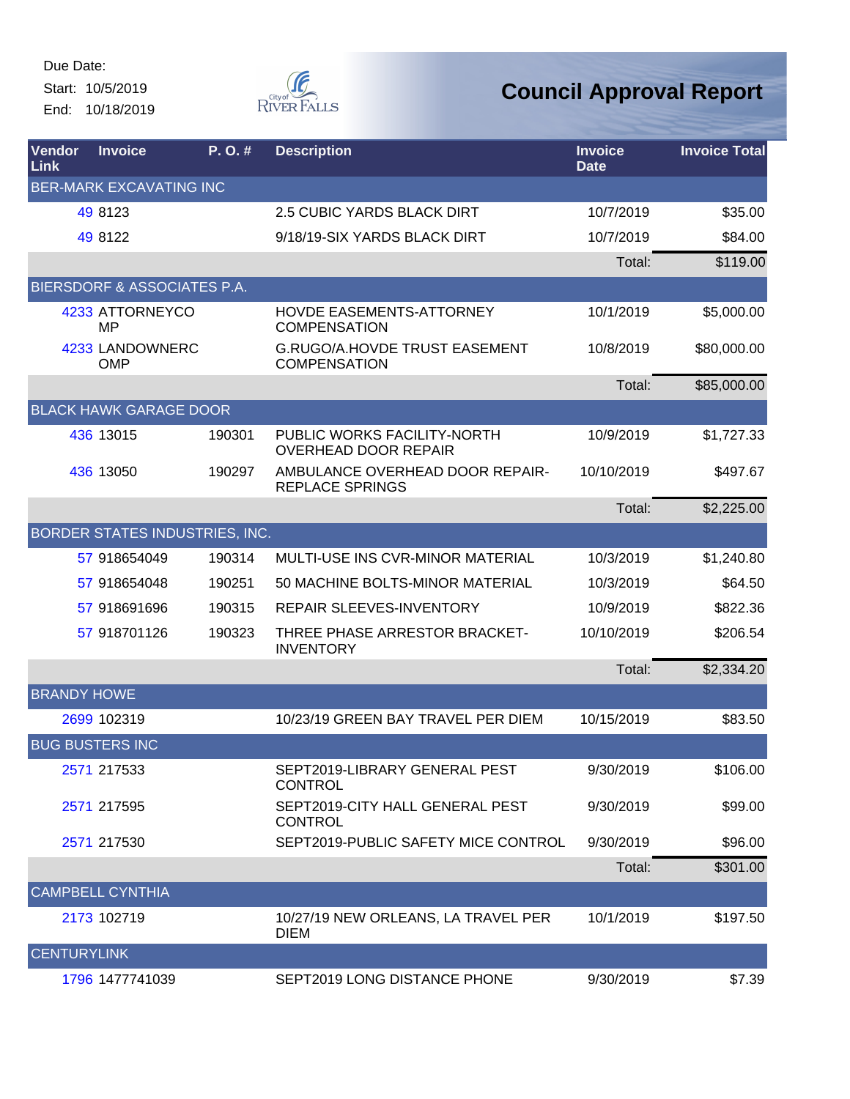Due Date: Start: 10/5/2019

End: 10/18/2019



| Vendor<br>Link     | <b>Invoice</b>                 | P. O. # | <b>Description</b>                                          | <b>Invoice</b><br><b>Date</b> | <b>Invoice Total</b> |
|--------------------|--------------------------------|---------|-------------------------------------------------------------|-------------------------------|----------------------|
|                    | <b>BER-MARK EXCAVATING INC</b> |         |                                                             |                               |                      |
|                    | 49 8123                        |         | 2.5 CUBIC YARDS BLACK DIRT                                  | 10/7/2019                     | \$35.00              |
|                    | 49 8122                        |         | 9/18/19-SIX YARDS BLACK DIRT                                | 10/7/2019                     | \$84.00              |
|                    |                                |         |                                                             | Total:                        | \$119.00             |
|                    | BIERSDORF & ASSOCIATES P.A.    |         |                                                             |                               |                      |
|                    | 4233 ATTORNEYCO<br><b>MP</b>   |         | HOVDE EASEMENTS-ATTORNEY<br><b>COMPENSATION</b>             | 10/1/2019                     | \$5,000.00           |
|                    | 4233 LANDOWNERC<br><b>OMP</b>  |         | <b>G.RUGO/A.HOVDE TRUST EASEMENT</b><br><b>COMPENSATION</b> | 10/8/2019                     | \$80,000.00          |
|                    |                                |         |                                                             | Total:                        | \$85,000.00          |
|                    | <b>BLACK HAWK GARAGE DOOR</b>  |         |                                                             |                               |                      |
|                    | 436 13015                      | 190301  | PUBLIC WORKS FACILITY-NORTH<br>OVERHEAD DOOR REPAIR         | 10/9/2019                     | \$1,727.33           |
|                    | 436 13050                      | 190297  | AMBULANCE OVERHEAD DOOR REPAIR-<br><b>REPLACE SPRINGS</b>   | 10/10/2019                    | \$497.67             |
|                    |                                |         |                                                             | Total:                        | \$2,225.00           |
|                    | BORDER STATES INDUSTRIES, INC. |         |                                                             |                               |                      |
|                    | 57 918654049                   | 190314  | MULTI-USE INS CVR-MINOR MATERIAL                            | 10/3/2019                     | \$1,240.80           |
|                    | 57 918654048                   | 190251  | 50 MACHINE BOLTS-MINOR MATERIAL                             | 10/3/2019                     | \$64.50              |
|                    | 57 918691696                   | 190315  | REPAIR SLEEVES-INVENTORY                                    | 10/9/2019                     | \$822.36             |
|                    | 57 918701126                   | 190323  | THREE PHASE ARRESTOR BRACKET-<br><b>INVENTORY</b>           | 10/10/2019                    | \$206.54             |
|                    |                                |         |                                                             | Total:                        | \$2,334.20           |
| <b>BRANDY HOWE</b> |                                |         |                                                             |                               |                      |
|                    | 2699 102319                    |         | 10/23/19 GREEN BAY TRAVEL PER DIEM                          | 10/15/2019                    | \$83.50              |
|                    | <b>BUG BUSTERS INC</b>         |         |                                                             |                               |                      |
|                    | 2571 217533                    |         | SEPT2019-LIBRARY GENERAL PEST<br>CONTROL                    | 9/30/2019                     | \$106.00             |
|                    | 2571 217595                    |         | SEPT2019-CITY HALL GENERAL PEST<br><b>CONTROL</b>           | 9/30/2019                     | \$99.00              |
|                    | 2571 217530                    |         | SEPT2019-PUBLIC SAFETY MICE CONTROL                         | 9/30/2019                     | \$96.00              |
|                    |                                |         |                                                             | Total:                        | \$301.00             |
|                    | <b>CAMPBELL CYNTHIA</b>        |         |                                                             |                               |                      |
|                    | 2173 102719                    |         | 10/27/19 NEW ORLEANS, LA TRAVEL PER<br><b>DIEM</b>          | 10/1/2019                     | \$197.50             |
| <b>CENTURYLINK</b> |                                |         |                                                             |                               |                      |
|                    | 1796 1477741039                |         | SEPT2019 LONG DISTANCE PHONE                                | 9/30/2019                     | \$7.39               |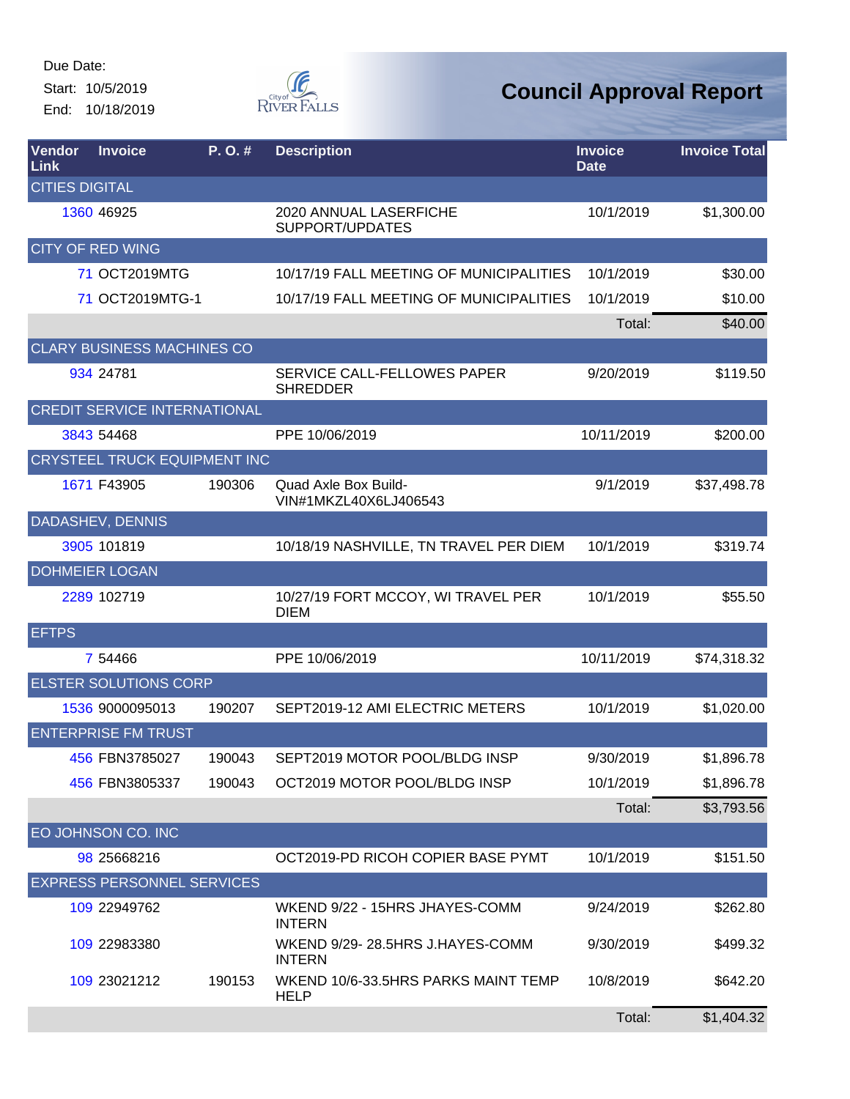Start: 10/5/2019 End: 10/18/2019



| Vendor<br>Link        | <b>Invoice</b>                      | $P. O.$ # | <b>Description</b>                                 | <b>Invoice</b><br><b>Date</b> | <b>Invoice Total</b> |
|-----------------------|-------------------------------------|-----------|----------------------------------------------------|-------------------------------|----------------------|
| <b>CITIES DIGITAL</b> |                                     |           |                                                    |                               |                      |
|                       | 1360 46925                          |           | 2020 ANNUAL LASERFICHE<br>SUPPORT/UPDATES          | 10/1/2019                     | \$1,300.00           |
|                       | <b>CITY OF RED WING</b>             |           |                                                    |                               |                      |
|                       | 71 OCT2019MTG                       |           | 10/17/19 FALL MEETING OF MUNICIPALITIES            | 10/1/2019                     | \$30.00              |
|                       | 71 OCT2019MTG-1                     |           | 10/17/19 FALL MEETING OF MUNICIPALITIES            | 10/1/2019                     | \$10.00              |
|                       |                                     |           |                                                    | Total:                        | \$40.00              |
|                       | <b>CLARY BUSINESS MACHINES CO</b>   |           |                                                    |                               |                      |
|                       | 934 24781                           |           | SERVICE CALL-FELLOWES PAPER<br><b>SHREDDER</b>     | 9/20/2019                     | \$119.50             |
|                       | <b>CREDIT SERVICE INTERNATIONAL</b> |           |                                                    |                               |                      |
|                       | 3843 54468                          |           | PPE 10/06/2019                                     | 10/11/2019                    | \$200.00             |
|                       | CRYSTEEL TRUCK EQUIPMENT INC        |           |                                                    |                               |                      |
|                       | 1671 F43905                         | 190306    | Quad Axle Box Build-<br>VIN#1MKZL40X6LJ406543      | 9/1/2019                      | \$37,498.78          |
|                       | DADASHEV, DENNIS                    |           |                                                    |                               |                      |
|                       | 3905 101819                         |           | 10/18/19 NASHVILLE, TN TRAVEL PER DIEM             | 10/1/2019                     | \$319.74             |
|                       | <b>DOHMEIER LOGAN</b>               |           |                                                    |                               |                      |
|                       | 2289 102719                         |           | 10/27/19 FORT MCCOY, WI TRAVEL PER<br><b>DIEM</b>  | 10/1/2019                     | \$55.50              |
| <b>EFTPS</b>          |                                     |           |                                                    |                               |                      |
|                       | 7 54466                             |           | PPE 10/06/2019                                     | 10/11/2019                    | \$74,318.32          |
|                       | <b>ELSTER SOLUTIONS CORP</b>        |           |                                                    |                               |                      |
|                       | 1536 9000095013                     | 190207    | SEPT2019-12 AMI ELECTRIC METERS                    | 10/1/2019                     | \$1,020.00           |
|                       | <b>ENTERPRISE FM TRUST</b>          |           |                                                    |                               |                      |
|                       | 456 FBN3785027                      | 190043    | SEPT2019 MOTOR POOL/BLDG INSP                      | 9/30/2019                     | \$1,896.78           |
|                       | 456 FBN3805337                      | 190043    | OCT2019 MOTOR POOL/BLDG INSP                       | 10/1/2019                     | \$1,896.78           |
|                       |                                     |           |                                                    | Total:                        | \$3,793.56           |
|                       | EO JOHNSON CO. INC                  |           |                                                    |                               |                      |
|                       | 98 25668216                         |           | OCT2019-PD RICOH COPIER BASE PYMT                  | 10/1/2019                     | \$151.50             |
|                       | <b>EXPRESS PERSONNEL SERVICES</b>   |           |                                                    |                               |                      |
|                       | 109 22949762                        |           | WKEND 9/22 - 15HRS JHAYES-COMM<br><b>INTERN</b>    | 9/24/2019                     | \$262.80             |
|                       | 109 22983380                        |           | WKEND 9/29-28.5HRS J.HAYES-COMM<br><b>INTERN</b>   | 9/30/2019                     | \$499.32             |
|                       | 109 23021212                        | 190153    | WKEND 10/6-33.5HRS PARKS MAINT TEMP<br><b>HELP</b> | 10/8/2019                     | \$642.20             |
|                       |                                     |           |                                                    | Total:                        | \$1,404.32           |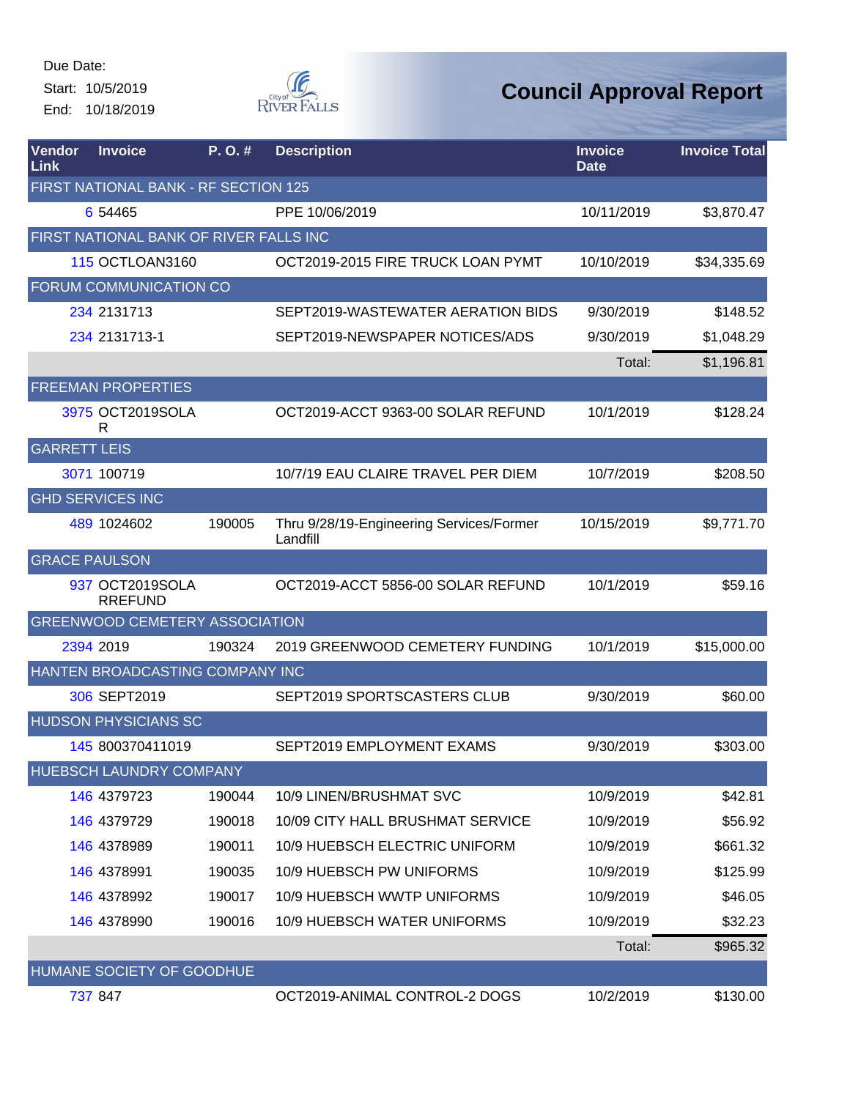Start: 10/5/2019 End: 10/18/2019



| Vendor<br>Link       | <b>Invoice</b>                         | P.O.#  | <b>Description</b>                                   | <b>Invoice</b><br><b>Date</b> | <b>Invoice Total</b> |
|----------------------|----------------------------------------|--------|------------------------------------------------------|-------------------------------|----------------------|
|                      | FIRST NATIONAL BANK - RF SECTION 125   |        |                                                      |                               |                      |
|                      | 6 54465                                |        | PPE 10/06/2019                                       | 10/11/2019                    | \$3,870.47           |
|                      | FIRST NATIONAL BANK OF RIVER FALLS INC |        |                                                      |                               |                      |
|                      | <b>115 OCTLOAN3160</b>                 |        | OCT2019-2015 FIRE TRUCK LOAN PYMT                    | 10/10/2019                    | \$34,335.69          |
|                      | FORUM COMMUNICATION CO                 |        |                                                      |                               |                      |
|                      | 234 2131713                            |        | SEPT2019-WASTEWATER AERATION BIDS                    | 9/30/2019                     | \$148.52             |
|                      | 234 2131713-1                          |        | SEPT2019-NEWSPAPER NOTICES/ADS                       | 9/30/2019                     | \$1,048.29           |
|                      |                                        |        |                                                      | Total:                        | \$1,196.81           |
|                      | <b>FREEMAN PROPERTIES</b>              |        |                                                      |                               |                      |
|                      | 3975 OCT2019SOLA<br>R                  |        | OCT2019-ACCT 9363-00 SOLAR REFUND                    | 10/1/2019                     | \$128.24             |
| <b>GARRETT LEIS</b>  |                                        |        |                                                      |                               |                      |
|                      | 3071 100719                            |        | 10/7/19 EAU CLAIRE TRAVEL PER DIEM                   | 10/7/2019                     | \$208.50             |
|                      | <b>GHD SERVICES INC</b>                |        |                                                      |                               |                      |
|                      | 489 1024602                            | 190005 | Thru 9/28/19-Engineering Services/Former<br>Landfill | 10/15/2019                    | \$9,771.70           |
| <b>GRACE PAULSON</b> |                                        |        |                                                      |                               |                      |
|                      | 937 OCT2019SOLA<br><b>RREFUND</b>      |        | OCT2019-ACCT 5856-00 SOLAR REFUND                    | 10/1/2019                     | \$59.16              |
|                      | <b>GREENWOOD CEMETERY ASSOCIATION</b>  |        |                                                      |                               |                      |
|                      | 2394 2019                              | 190324 | 2019 GREENWOOD CEMETERY FUNDING                      | 10/1/2019                     | \$15,000.00          |
|                      | HANTEN BROADCASTING COMPANY INC        |        |                                                      |                               |                      |
|                      | 306 SEPT2019                           |        | SEPT2019 SPORTSCASTERS CLUB                          | 9/30/2019                     | \$60.00              |
|                      | <b>HUDSON PHYSICIANS SC</b>            |        |                                                      |                               |                      |
|                      | 145 800370411019                       |        | SEPT2019 EMPLOYMENT EXAMS                            | 9/30/2019                     | \$303.00             |
|                      | <b>HUEBSCH LAUNDRY COMPANY</b>         |        |                                                      |                               |                      |
|                      | 146 4379723                            | 190044 | 10/9 LINEN/BRUSHMAT SVC                              | 10/9/2019                     | \$42.81              |
|                      | 146 4379729                            | 190018 | 10/09 CITY HALL BRUSHMAT SERVICE                     | 10/9/2019                     | \$56.92              |
|                      | 146 4378989                            | 190011 | 10/9 HUEBSCH ELECTRIC UNIFORM                        | 10/9/2019                     | \$661.32             |
|                      | 146 4378991                            | 190035 | 10/9 HUEBSCH PW UNIFORMS                             | 10/9/2019                     | \$125.99             |
|                      | 146 4378992                            | 190017 | 10/9 HUEBSCH WWTP UNIFORMS                           | 10/9/2019                     | \$46.05              |
|                      | 146 4378990                            | 190016 | 10/9 HUEBSCH WATER UNIFORMS                          | 10/9/2019                     | \$32.23              |
|                      |                                        |        |                                                      | Total:                        | \$965.32             |
|                      | HUMANE SOCIETY OF GOODHUE              |        |                                                      |                               |                      |
|                      | 737 847                                |        | OCT2019-ANIMAL CONTROL-2 DOGS                        | 10/2/2019                     | \$130.00             |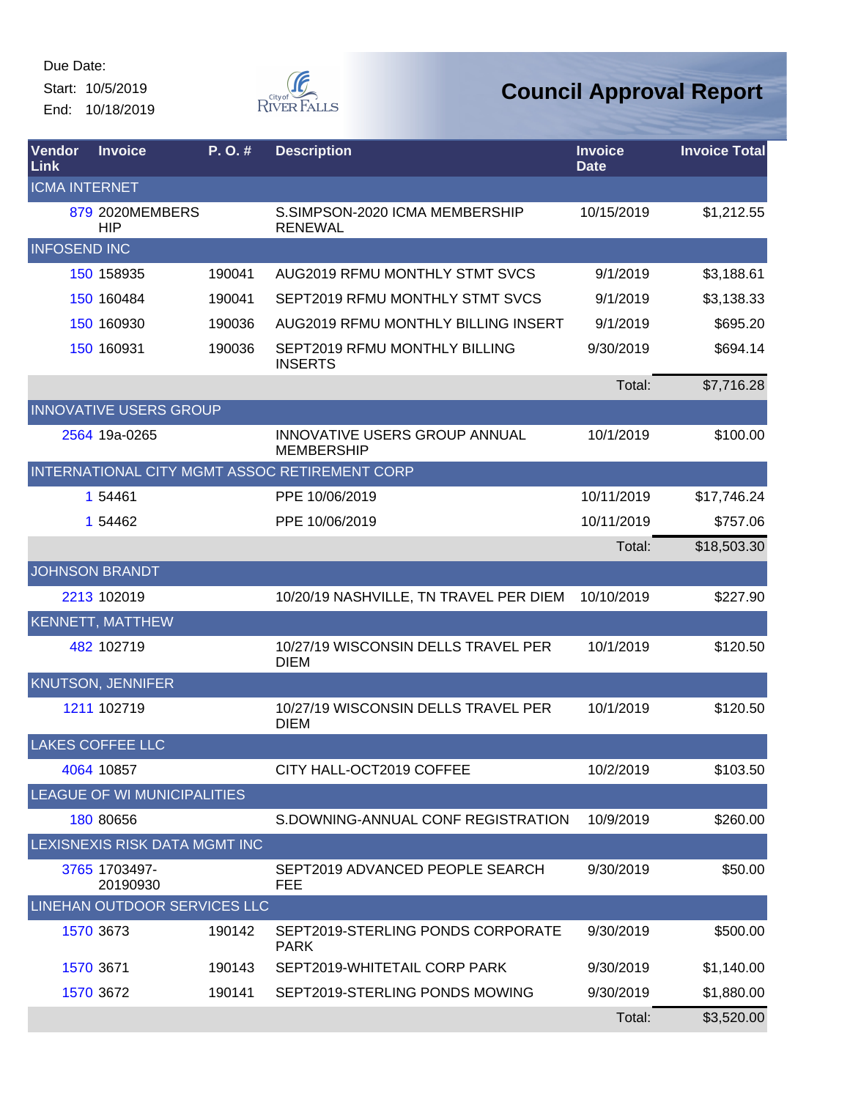Start: 10/5/2019 End: 10/18/2019



| <b>Vendor</b><br>Link | <b>Invoice</b>                      | P.O.#  | <b>Description</b>                                 | <b>Invoice</b><br><b>Date</b> | <b>Invoice Total</b> |
|-----------------------|-------------------------------------|--------|----------------------------------------------------|-------------------------------|----------------------|
| <b>ICMA INTERNET</b>  |                                     |        |                                                    |                               |                      |
|                       | 879 2020MEMBERS<br><b>HIP</b>       |        | S.SIMPSON-2020 ICMA MEMBERSHIP<br><b>RENEWAL</b>   | 10/15/2019                    | \$1,212.55           |
| <b>INFOSEND INC</b>   |                                     |        |                                                    |                               |                      |
|                       | 150 158935                          | 190041 | <b>AUG2019 RFMU MONTHLY STMT SVCS</b>              | 9/1/2019                      | \$3,188.61           |
|                       | 150 160484                          | 190041 | SEPT2019 RFMU MONTHLY STMT SVCS                    | 9/1/2019                      | \$3,138.33           |
|                       | 150 160930                          | 190036 | AUG2019 RFMU MONTHLY BILLING INSERT                | 9/1/2019                      | \$695.20             |
|                       | 150 160931                          | 190036 | SEPT2019 RFMU MONTHLY BILLING<br><b>INSERTS</b>    | 9/30/2019                     | \$694.14             |
|                       |                                     |        |                                                    | Total:                        | \$7,716.28           |
|                       | <b>INNOVATIVE USERS GROUP</b>       |        |                                                    |                               |                      |
|                       | 2564 19a-0265                       |        | INNOVATIVE USERS GROUP ANNUAL<br><b>MEMBERSHIP</b> | 10/1/2019                     | \$100.00             |
|                       |                                     |        | INTERNATIONAL CITY MGMT ASSOC RETIREMENT CORP      |                               |                      |
|                       | 1 54461                             |        | PPE 10/06/2019                                     | 10/11/2019                    | \$17,746.24          |
|                       | 1 54462                             |        | PPE 10/06/2019                                     | 10/11/2019                    | \$757.06             |
|                       |                                     |        |                                                    | Total:                        | \$18,503.30          |
|                       | <b>JOHNSON BRANDT</b>               |        |                                                    |                               |                      |
|                       | 2213 102019                         |        | 10/20/19 NASHVILLE, TN TRAVEL PER DIEM             | 10/10/2019                    | \$227.90             |
|                       | <b>KENNETT, MATTHEW</b>             |        |                                                    |                               |                      |
|                       | 482 102719                          |        | 10/27/19 WISCONSIN DELLS TRAVEL PER<br><b>DIEM</b> | 10/1/2019                     | \$120.50             |
|                       | <b>KNUTSON, JENNIFER</b>            |        |                                                    |                               |                      |
|                       | 1211 102719                         |        | 10/27/19 WISCONSIN DELLS TRAVEL PER<br><b>DIEM</b> | 10/1/2019                     | \$120.50             |
|                       | <b>LAKES COFFEE LLC</b>             |        |                                                    |                               |                      |
|                       | 4064 10857                          |        | CITY HALL-OCT2019 COFFEE                           | 10/2/2019                     | \$103.50             |
|                       | LEAGUE OF WI MUNICIPALITIES         |        |                                                    |                               |                      |
|                       | 180 80656                           |        | S.DOWNING-ANNUAL CONF REGISTRATION                 | 10/9/2019                     | \$260.00             |
|                       | LEXISNEXIS RISK DATA MGMT INC       |        |                                                    |                               |                      |
|                       | 3765 1703497-<br>20190930           |        | SEPT2019 ADVANCED PEOPLE SEARCH<br><b>FEE</b>      | 9/30/2019                     | \$50.00              |
|                       | <b>LINEHAN OUTDOOR SERVICES LLC</b> |        |                                                    |                               |                      |
|                       | 1570 3673                           | 190142 | SEPT2019-STERLING PONDS CORPORATE<br><b>PARK</b>   | 9/30/2019                     | \$500.00             |
|                       | 1570 3671                           | 190143 | SEPT2019-WHITETAIL CORP PARK                       | 9/30/2019                     | \$1,140.00           |
|                       | 1570 3672                           | 190141 | SEPT2019-STERLING PONDS MOWING                     | 9/30/2019                     | \$1,880.00           |
|                       |                                     |        |                                                    | Total:                        | \$3,520.00           |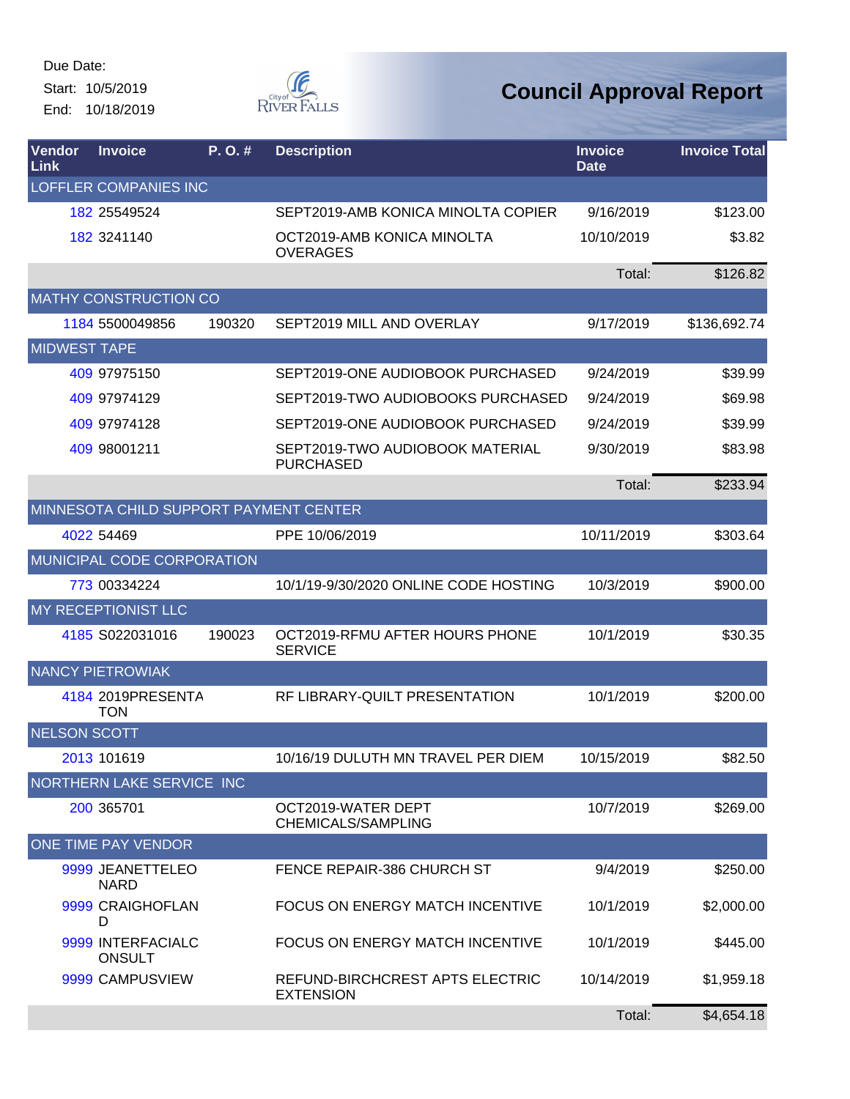Due Date: Start: 10/5/2019 End: 10/18/2019



| <b>Vendor</b><br>Link | <b>Invoice</b>                         | P. O. # | <b>Description</b>                                  | <b>Invoice</b><br><b>Date</b> | <b>Invoice Total</b> |
|-----------------------|----------------------------------------|---------|-----------------------------------------------------|-------------------------------|----------------------|
|                       | <b>LOFFLER COMPANIES INC</b>           |         |                                                     |                               |                      |
|                       | 182 25549524                           |         | SEPT2019-AMB KONICA MINOLTA COPIER                  | 9/16/2019                     | \$123.00             |
|                       | 182 3241140                            |         | OCT2019-AMB KONICA MINOLTA<br><b>OVERAGES</b>       | 10/10/2019                    | \$3.82               |
|                       |                                        |         |                                                     | Total:                        | \$126.82             |
|                       | MATHY CONSTRUCTION CO                  |         |                                                     |                               |                      |
|                       | 1184 5500049856                        | 190320  | SEPT2019 MILL AND OVERLAY                           | 9/17/2019                     | \$136,692.74         |
| <b>MIDWEST TAPE</b>   |                                        |         |                                                     |                               |                      |
|                       | 409 97975150                           |         | SEPT2019-ONE AUDIOBOOK PURCHASED                    | 9/24/2019                     | \$39.99              |
|                       | 409 97974129                           |         | SEPT2019-TWO AUDIOBOOKS PURCHASED                   | 9/24/2019                     | \$69.98              |
|                       | 409 97974128                           |         | SEPT2019-ONE AUDIOBOOK PURCHASED                    | 9/24/2019                     | \$39.99              |
|                       | 409 98001211                           |         | SEPT2019-TWO AUDIOBOOK MATERIAL<br><b>PURCHASED</b> | 9/30/2019                     | \$83.98              |
|                       |                                        |         |                                                     | Total:                        | \$233.94             |
|                       | MINNESOTA CHILD SUPPORT PAYMENT CENTER |         |                                                     |                               |                      |
|                       | 4022 54469                             |         | PPE 10/06/2019                                      | 10/11/2019                    | \$303.64             |
|                       | MUNICIPAL CODE CORPORATION             |         |                                                     |                               |                      |
|                       | 773 00334224                           |         | 10/1/19-9/30/2020 ONLINE CODE HOSTING               | 10/3/2019                     | \$900.00             |
|                       | MY RECEPTIONIST LLC                    |         |                                                     |                               |                      |
|                       | 4185 S022031016                        | 190023  | OCT2019-RFMU AFTER HOURS PHONE<br><b>SERVICE</b>    | 10/1/2019                     | \$30.35              |
|                       | <b>NANCY PIETROWIAK</b>                |         |                                                     |                               |                      |
|                       | 4184 2019PRESENTA<br><b>TON</b>        |         | RF LIBRARY-QUILT PRESENTATION                       | 10/1/2019                     | \$200.00             |
| <b>NELSON SCOTT</b>   |                                        |         |                                                     |                               |                      |
|                       | 2013 101619                            |         | 10/16/19 DULUTH MN TRAVEL PER DIEM                  | 10/15/2019                    | \$82.50              |
|                       | NORTHERN LAKE SERVICE INC              |         |                                                     |                               |                      |
|                       | 200 365701                             |         | OCT2019-WATER DEPT<br>CHEMICALS/SAMPLING            | 10/7/2019                     | \$269.00             |
|                       | ONE TIME PAY VENDOR                    |         |                                                     |                               |                      |
|                       | 9999 JEANETTELEO<br><b>NARD</b>        |         | FENCE REPAIR-386 CHURCH ST                          | 9/4/2019                      | \$250.00             |
|                       | 9999 CRAIGHOFLAN<br>D                  |         | <b>FOCUS ON ENERGY MATCH INCENTIVE</b>              | 10/1/2019                     | \$2,000.00           |
|                       | 9999 INTERFACIALC<br><b>ONSULT</b>     |         | <b>FOCUS ON ENERGY MATCH INCENTIVE</b>              | 10/1/2019                     | \$445.00             |
|                       | 9999 CAMPUSVIEW                        |         | REFUND-BIRCHCREST APTS ELECTRIC<br><b>EXTENSION</b> | 10/14/2019                    | \$1,959.18           |
|                       |                                        |         |                                                     | Total:                        | \$4,654.18           |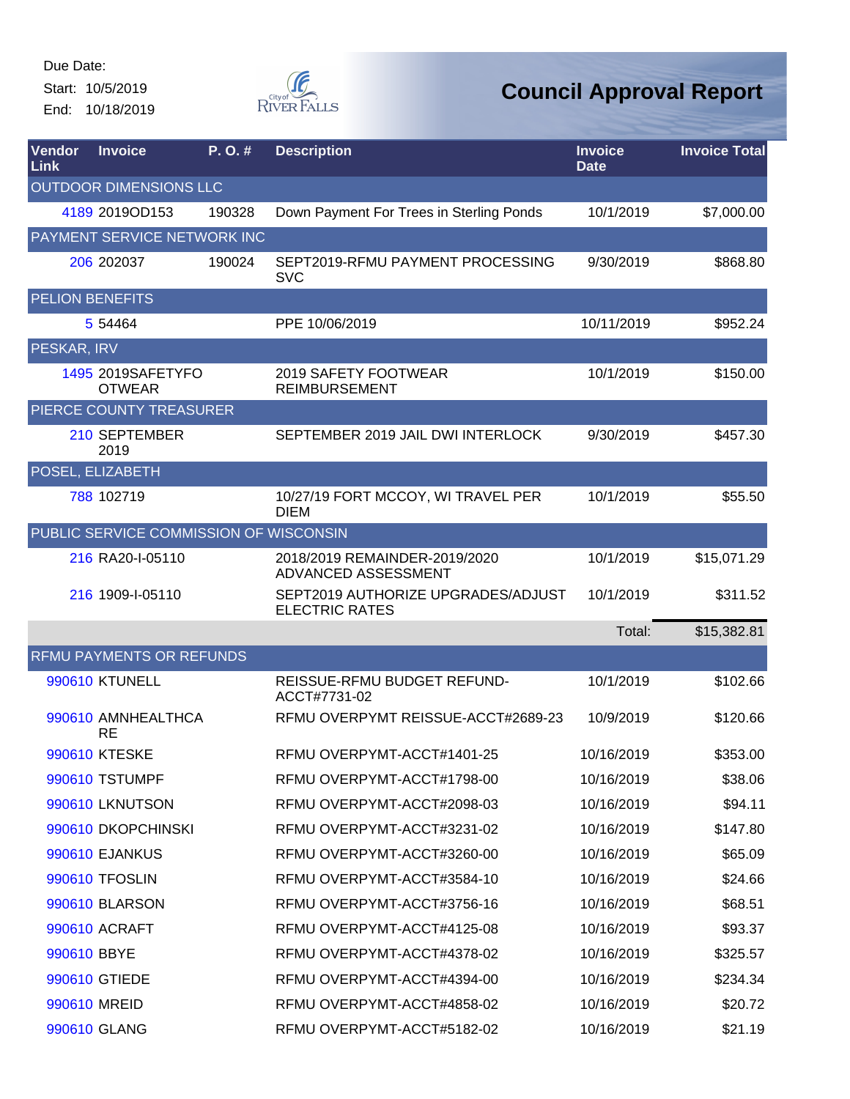Start: 10/5/2019 End: 10/18/2019



| Vendor<br>Link         | <b>Invoice</b>                         | P.O.#  | <b>Description</b>                                          | <b>Invoice</b><br><b>Date</b> | <b>Invoice Total</b> |
|------------------------|----------------------------------------|--------|-------------------------------------------------------------|-------------------------------|----------------------|
|                        | OUTDOOR DIMENSIONS LLC                 |        |                                                             |                               |                      |
|                        | 4189 2019OD153                         | 190328 | Down Payment For Trees in Sterling Ponds                    | 10/1/2019                     | \$7,000.00           |
|                        | PAYMENT SERVICE NETWORK INC            |        |                                                             |                               |                      |
|                        | 206 202037                             | 190024 | SEPT2019-RFMU PAYMENT PROCESSING<br><b>SVC</b>              | 9/30/2019                     | \$868.80             |
| <b>PELION BENEFITS</b> |                                        |        |                                                             |                               |                      |
|                        | 5 54464                                |        | PPE 10/06/2019                                              | 10/11/2019                    | \$952.24             |
| PESKAR, IRV            |                                        |        |                                                             |                               |                      |
|                        | 1495 2019SAFETYFO<br><b>OTWEAR</b>     |        | 2019 SAFETY FOOTWEAR<br><b>REIMBURSEMENT</b>                | 10/1/2019                     | \$150.00             |
|                        | PIERCE COUNTY TREASURER                |        |                                                             |                               |                      |
|                        | 210 SEPTEMBER<br>2019                  |        | SEPTEMBER 2019 JAIL DWI INTERLOCK                           | 9/30/2019                     | \$457.30             |
|                        | POSEL, ELIZABETH                       |        |                                                             |                               |                      |
|                        | 788 102719                             |        | 10/27/19 FORT MCCOY, WI TRAVEL PER<br><b>DIEM</b>           | 10/1/2019                     | \$55.50              |
|                        | PUBLIC SERVICE COMMISSION OF WISCONSIN |        |                                                             |                               |                      |
|                        | 216 RA20-I-05110                       |        | 2018/2019 REMAINDER-2019/2020<br>ADVANCED ASSESSMENT        | 10/1/2019                     | \$15,071.29          |
|                        | 216 1909-I-05110                       |        | SEPT2019 AUTHORIZE UPGRADES/ADJUST<br><b>ELECTRIC RATES</b> | 10/1/2019                     | \$311.52             |
|                        |                                        |        |                                                             | Total:                        | \$15,382.81          |
|                        | <b>RFMU PAYMENTS OR REFUNDS</b>        |        |                                                             |                               |                      |
|                        | 990610 KTUNELL                         |        | REISSUE-RFMU BUDGET REFUND-<br>ACCT#7731-02                 | 10/1/2019                     | \$102.66             |
|                        | 990610 AMNHEALTHCA<br><b>RE</b>        |        | RFMU OVERPYMT REISSUE-ACCT#2689-23                          | 10/9/2019                     | \$120.66             |
|                        | 990610 KTESKE                          |        | RFMU OVERPYMT-ACCT#1401-25                                  | 10/16/2019                    | \$353.00             |
|                        | 990610 TSTUMPF                         |        | RFMU OVERPYMT-ACCT#1798-00                                  | 10/16/2019                    | \$38.06              |
|                        | 990610 LKNUTSON                        |        | RFMU OVERPYMT-ACCT#2098-03                                  | 10/16/2019                    | \$94.11              |
|                        | 990610 DKOPCHINSKI                     |        | RFMU OVERPYMT-ACCT#3231-02                                  | 10/16/2019                    | \$147.80             |
|                        | <b>990610 EJANKUS</b>                  |        | RFMU OVERPYMT-ACCT#3260-00                                  | 10/16/2019                    | \$65.09              |
|                        | 990610 TFOSLIN                         |        | RFMU OVERPYMT-ACCT#3584-10                                  | 10/16/2019                    | \$24.66              |
|                        | 990610 BLARSON                         |        | RFMU OVERPYMT-ACCT#3756-16                                  | 10/16/2019                    | \$68.51              |
|                        | 990610 ACRAFT                          |        | RFMU OVERPYMT-ACCT#4125-08                                  | 10/16/2019                    | \$93.37              |
| 990610 BBYE            |                                        |        | RFMU OVERPYMT-ACCT#4378-02                                  | 10/16/2019                    | \$325.57             |
|                        | 990610 GTIEDE                          |        | RFMU OVERPYMT-ACCT#4394-00                                  | 10/16/2019                    | \$234.34             |
|                        | 990610 MREID                           |        | RFMU OVERPYMT-ACCT#4858-02                                  | 10/16/2019                    | \$20.72              |
|                        | 990610 GLANG                           |        | RFMU OVERPYMT-ACCT#5182-02                                  | 10/16/2019                    | \$21.19              |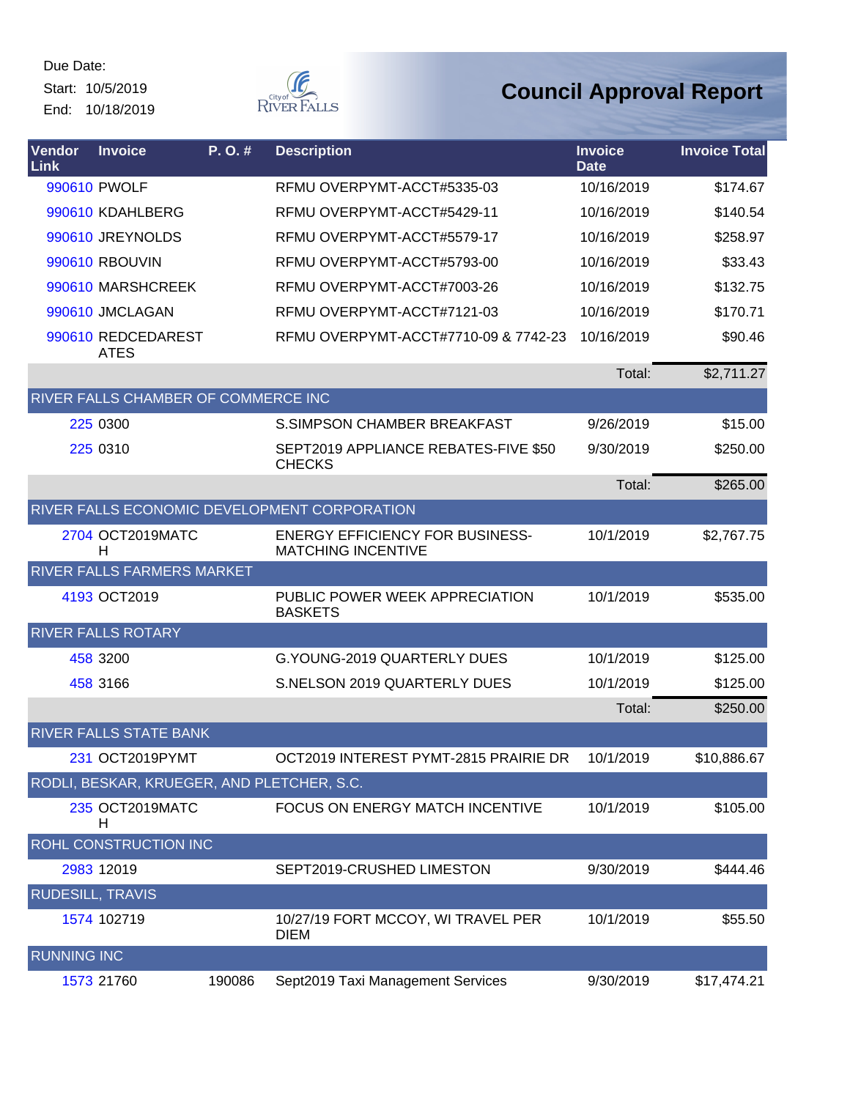Start: 10/5/2019 End: 10/18/2019



| Vendor<br>Link          | <b>Invoice</b>                             | P. O. # | <b>Description</b>                                                  | <b>Invoice</b><br><b>Date</b> | <b>Invoice Total</b> |
|-------------------------|--------------------------------------------|---------|---------------------------------------------------------------------|-------------------------------|----------------------|
|                         | 990610 PWOLF                               |         | RFMU OVERPYMT-ACCT#5335-03                                          | 10/16/2019                    | \$174.67             |
|                         | 990610 KDAHLBERG                           |         | RFMU OVERPYMT-ACCT#5429-11                                          | 10/16/2019                    | \$140.54             |
|                         | 990610 JREYNOLDS                           |         | RFMU OVERPYMT-ACCT#5579-17                                          | 10/16/2019                    | \$258.97             |
|                         | 990610 RBOUVIN                             |         | RFMU OVERPYMT-ACCT#5793-00                                          | 10/16/2019                    | \$33.43              |
|                         | 990610 MARSHCREEK                          |         | RFMU OVERPYMT-ACCT#7003-26                                          | 10/16/2019                    | \$132.75             |
|                         | 990610 JMCLAGAN                            |         | RFMU OVERPYMT-ACCT#7121-03                                          | 10/16/2019                    | \$170.71             |
|                         | 990610 REDCEDAREST<br><b>ATES</b>          |         | RFMU OVERPYMT-ACCT#7710-09 & 7742-23                                | 10/16/2019                    | \$90.46              |
|                         |                                            |         |                                                                     | Total:                        | \$2,711.27           |
|                         | RIVER FALLS CHAMBER OF COMMERCE INC        |         |                                                                     |                               |                      |
|                         | 225 0300                                   |         | S. SIMPSON CHAMBER BREAKFAST                                        | 9/26/2019                     | \$15.00              |
|                         | 225 0310                                   |         | SEPT2019 APPLIANCE REBATES-FIVE \$50<br><b>CHECKS</b>               | 9/30/2019                     | \$250.00             |
|                         |                                            |         |                                                                     | Total:                        | \$265.00             |
|                         |                                            |         | RIVER FALLS ECONOMIC DEVELOPMENT CORPORATION                        |                               |                      |
|                         | 2704 OCT2019MATC<br>Н                      |         | <b>ENERGY EFFICIENCY FOR BUSINESS-</b><br><b>MATCHING INCENTIVE</b> | 10/1/2019                     | \$2,767.75           |
|                         | <b>RIVER FALLS FARMERS MARKET</b>          |         |                                                                     |                               |                      |
|                         | 4193 OCT2019                               |         | PUBLIC POWER WEEK APPRECIATION<br><b>BASKETS</b>                    | 10/1/2019                     | \$535.00             |
|                         | <b>RIVER FALLS ROTARY</b>                  |         |                                                                     |                               |                      |
|                         | 458 3200                                   |         | G.YOUNG-2019 QUARTERLY DUES                                         | 10/1/2019                     | \$125.00             |
|                         | 458 3166                                   |         | S.NELSON 2019 QUARTERLY DUES                                        | 10/1/2019                     | \$125.00             |
|                         |                                            |         |                                                                     | Total:                        | \$250.00             |
|                         | RIVER FALLS STATE BANK                     |         |                                                                     |                               |                      |
|                         | 231 OCT2019PYMT                            |         | OCT2019 INTEREST PYMT-2815 PRAIRIE DR                               | 10/1/2019                     | \$10,886.67          |
|                         | RODLI, BESKAR, KRUEGER, AND PLETCHER, S.C. |         |                                                                     |                               |                      |
|                         | 235 OCT2019MATC<br>Н                       |         | <b>FOCUS ON ENERGY MATCH INCENTIVE</b>                              | 10/1/2019                     | \$105.00             |
|                         | <b>ROHL CONSTRUCTION INC</b>               |         |                                                                     |                               |                      |
|                         | 2983 12019                                 |         | SEPT2019-CRUSHED LIMESTON                                           | 9/30/2019                     | \$444.46             |
| <b>RUDESILL, TRAVIS</b> |                                            |         |                                                                     |                               |                      |
|                         | 1574 102719                                |         | 10/27/19 FORT MCCOY, WI TRAVEL PER<br><b>DIEM</b>                   | 10/1/2019                     | \$55.50              |
| <b>RUNNING INC</b>      |                                            |         |                                                                     |                               |                      |
|                         | 1573 21760                                 | 190086  | Sept2019 Taxi Management Services                                   | 9/30/2019                     | \$17,474.21          |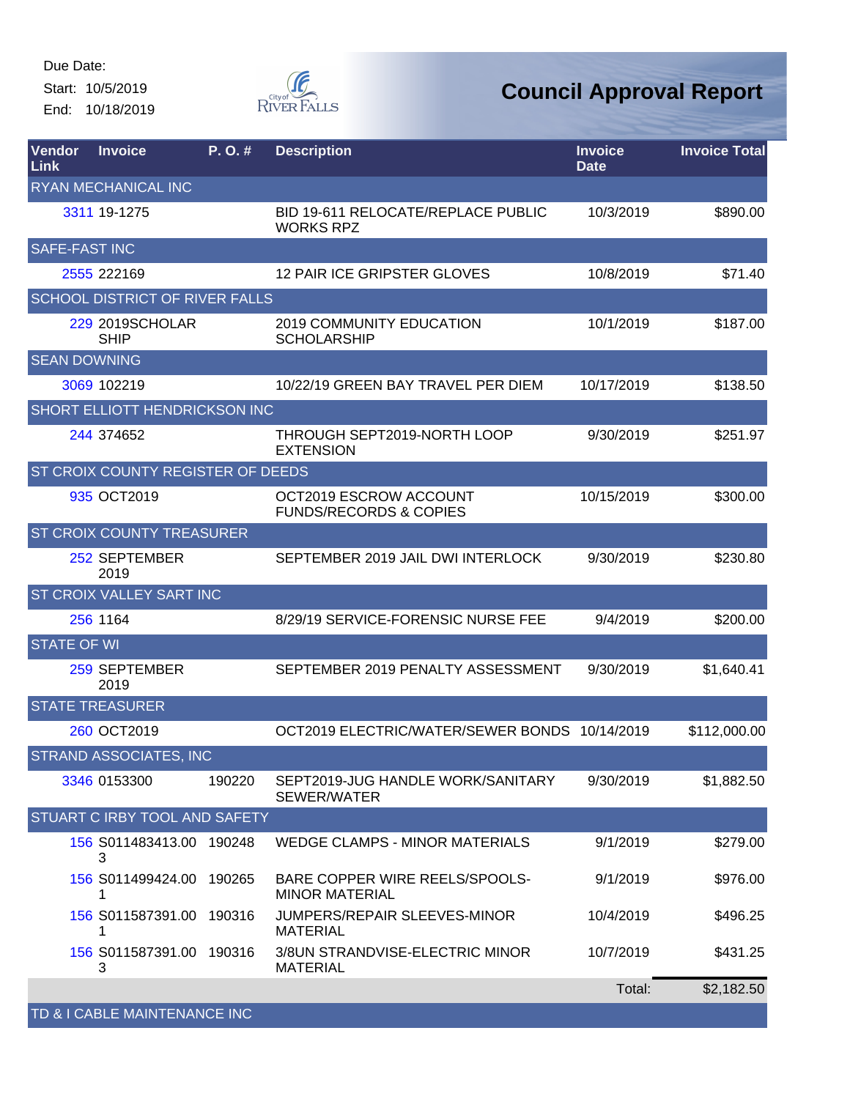Start: 10/5/2019 End: 10/18/2019



| <b>Vendor</b><br>Link | <b>Invoice</b>                    | P. O. # | <b>Description</b>                                          | <b>Invoice</b><br><b>Date</b> | <b>Invoice Total</b> |
|-----------------------|-----------------------------------|---------|-------------------------------------------------------------|-------------------------------|----------------------|
|                       | <b>RYAN MECHANICAL INC</b>        |         |                                                             |                               |                      |
|                       | 3311 19-1275                      |         | BID 19-611 RELOCATE/REPLACE PUBLIC<br><b>WORKS RPZ</b>      | 10/3/2019                     | \$890.00             |
| SAFE-FAST INC         |                                   |         |                                                             |                               |                      |
|                       | 2555 222169                       |         | 12 PAIR ICE GRIPSTER GLOVES                                 | 10/8/2019                     | \$71.40              |
|                       | SCHOOL DISTRICT OF RIVER FALLS    |         |                                                             |                               |                      |
|                       | 229 2019SCHOLAR<br><b>SHIP</b>    |         | <b>2019 COMMUNITY EDUCATION</b><br><b>SCHOLARSHIP</b>       | 10/1/2019                     | \$187.00             |
| <b>SEAN DOWNING</b>   |                                   |         |                                                             |                               |                      |
|                       | 3069 102219                       |         | 10/22/19 GREEN BAY TRAVEL PER DIEM                          | 10/17/2019                    | \$138.50             |
|                       | SHORT ELLIOTT HENDRICKSON INC     |         |                                                             |                               |                      |
|                       | 244 374 652                       |         | THROUGH SEPT2019-NORTH LOOP<br><b>EXTENSION</b>             | 9/30/2019                     | \$251.97             |
|                       | ST CROIX COUNTY REGISTER OF DEEDS |         |                                                             |                               |                      |
|                       | 935 OCT2019                       |         | OCT2019 ESCROW ACCOUNT<br><b>FUNDS/RECORDS &amp; COPIES</b> | 10/15/2019                    | \$300.00             |
|                       | ST CROIX COUNTY TREASURER         |         |                                                             |                               |                      |
|                       | 252 SEPTEMBER<br>2019             |         | SEPTEMBER 2019 JAIL DWI INTERLOCK                           | 9/30/2019                     | \$230.80             |
|                       | ST CROIX VALLEY SART INC          |         |                                                             |                               |                      |
|                       | 256 1164                          |         | 8/29/19 SERVICE-FORENSIC NURSE FEE                          | 9/4/2019                      | \$200.00             |
| <b>STATE OF WI</b>    |                                   |         |                                                             |                               |                      |
|                       | 259 SEPTEMBER<br>2019             |         | SEPTEMBER 2019 PENALTY ASSESSMENT                           | 9/30/2019                     | \$1,640.41           |
|                       | <b>STATE TREASURER</b>            |         |                                                             |                               |                      |
|                       | 260 OCT2019                       |         | OCT2019 ELECTRIC/WATER/SEWER BONDS 10/14/2019               |                               | \$112,000.00         |
|                       | STRAND ASSOCIATES, INC            |         |                                                             |                               |                      |
|                       | 3346 0153300                      | 190220  | SEPT2019-JUG HANDLE WORK/SANITARY<br>SEWER/WATER            | 9/30/2019                     | \$1,882.50           |
|                       | STUART C IRBY TOOL AND SAFETY     |         |                                                             |                               |                      |
|                       | 156 S011483413.00 190248<br>3     |         | <b>WEDGE CLAMPS - MINOR MATERIALS</b>                       | 9/1/2019                      | \$279.00             |
|                       | 156 S011499424.00 190265<br>1     |         | BARE COPPER WIRE REELS/SPOOLS-<br><b>MINOR MATERIAL</b>     | 9/1/2019                      | \$976.00             |
|                       | 156 S011587391.00<br>1            | 190316  | JUMPERS/REPAIR SLEEVES-MINOR<br><b>MATERIAL</b>             | 10/4/2019                     | \$496.25             |
|                       | 156 S011587391.00 190316<br>3     |         | 3/8UN STRANDVISE-ELECTRIC MINOR<br><b>MATERIAL</b>          | 10/7/2019                     | \$431.25             |
|                       |                                   |         |                                                             | Total:                        | \$2,182.50           |
|                       | TD & I CABLE MAINTENANCE INC      |         |                                                             |                               |                      |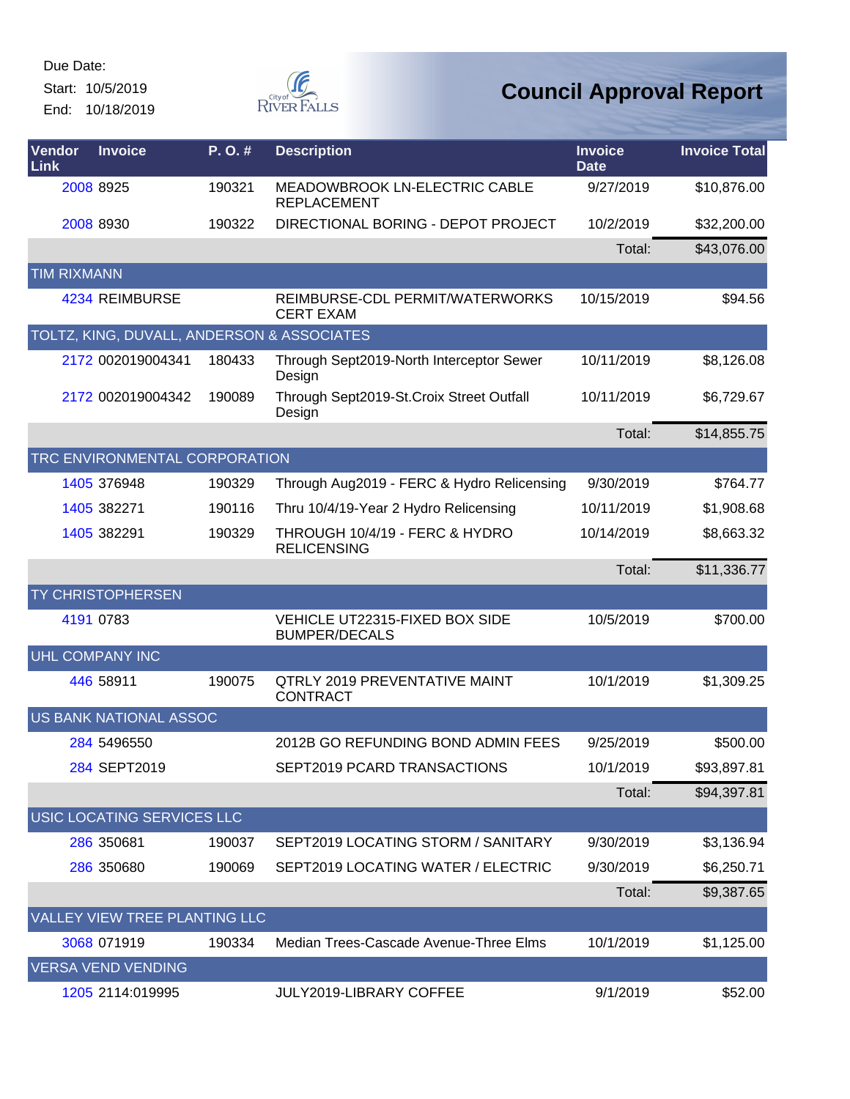Start: 10/5/2019 End: 10/18/2019



| Vendor<br>Link     | <b>Invoice</b>                             | P.O.#  | <b>Description</b>                                            | <b>Invoice</b><br><b>Date</b> | <b>Invoice Total</b> |
|--------------------|--------------------------------------------|--------|---------------------------------------------------------------|-------------------------------|----------------------|
|                    | 2008 8925                                  | 190321 | MEADOWBROOK LN-ELECTRIC CABLE<br><b>REPLACEMENT</b>           | 9/27/2019                     | \$10,876.00          |
|                    | 2008 8930                                  | 190322 | DIRECTIONAL BORING - DEPOT PROJECT                            | 10/2/2019                     | \$32,200.00          |
|                    |                                            |        |                                                               | Total:                        | \$43,076.00          |
| <b>TIM RIXMANN</b> |                                            |        |                                                               |                               |                      |
|                    | 4234 REIMBURSE                             |        | REIMBURSE-CDL PERMIT/WATERWORKS<br><b>CERT EXAM</b>           | 10/15/2019                    | \$94.56              |
|                    | TOLTZ, KING, DUVALL, ANDERSON & ASSOCIATES |        |                                                               |                               |                      |
|                    | 2172 002019004341                          | 180433 | Through Sept2019-North Interceptor Sewer<br>Design            | 10/11/2019                    | \$8,126.08           |
|                    | 2172 002019004342                          | 190089 | Through Sept2019-St.Croix Street Outfall<br>Design            | 10/11/2019                    | \$6,729.67           |
|                    |                                            |        |                                                               | Total:                        | \$14,855.75          |
|                    | TRC ENVIRONMENTAL CORPORATION              |        |                                                               |                               |                      |
|                    | 1405 376948                                | 190329 | Through Aug2019 - FERC & Hydro Relicensing                    | 9/30/2019                     | \$764.77             |
|                    | 1405 382271                                | 190116 | Thru 10/4/19-Year 2 Hydro Relicensing                         | 10/11/2019                    | \$1,908.68           |
|                    | 1405 382291                                | 190329 | THROUGH 10/4/19 - FERC & HYDRO<br><b>RELICENSING</b>          | 10/14/2019                    | \$8,663.32           |
|                    |                                            |        |                                                               | Total:                        | \$11,336.77          |
|                    | <b>TY CHRISTOPHERSEN</b>                   |        |                                                               |                               |                      |
|                    | 4191 0783                                  |        | <b>VEHICLE UT22315-FIXED BOX SIDE</b><br><b>BUMPER/DECALS</b> | 10/5/2019                     | \$700.00             |
|                    | <b>UHL COMPANY INC</b>                     |        |                                                               |                               |                      |
|                    | 446 58911                                  | 190075 | QTRLY 2019 PREVENTATIVE MAINT<br><b>CONTRACT</b>              | 10/1/2019                     | \$1,309.25           |
|                    | <b>US BANK NATIONAL ASSOC</b>              |        |                                                               |                               |                      |
|                    | 284 5496550                                |        | 2012B GO REFUNDING BOND ADMIN FEES                            | 9/25/2019                     | \$500.00             |
|                    | 284 SEPT2019                               |        | SEPT2019 PCARD TRANSACTIONS                                   | 10/1/2019                     | \$93,897.81          |
|                    |                                            |        |                                                               | Total:                        | \$94,397.81          |
|                    | USIC LOCATING SERVICES LLC                 |        |                                                               |                               |                      |
|                    | 286 350681                                 | 190037 | SEPT2019 LOCATING STORM / SANITARY                            | 9/30/2019                     | \$3,136.94           |
|                    | 286 350680                                 | 190069 | SEPT2019 LOCATING WATER / ELECTRIC                            | 9/30/2019                     | \$6,250.71           |
|                    |                                            |        |                                                               | Total:                        | \$9,387.65           |
|                    | VALLEY VIEW TREE PLANTING LLC              |        |                                                               |                               |                      |
|                    | 3068 071919                                | 190334 | Median Trees-Cascade Avenue-Three Elms                        | 10/1/2019                     | \$1,125.00           |
|                    | <b>VERSA VEND VENDING</b>                  |        |                                                               |                               |                      |
|                    | 1205 2114:019995                           |        | JULY2019-LIBRARY COFFEE                                       | 9/1/2019                      | \$52.00              |